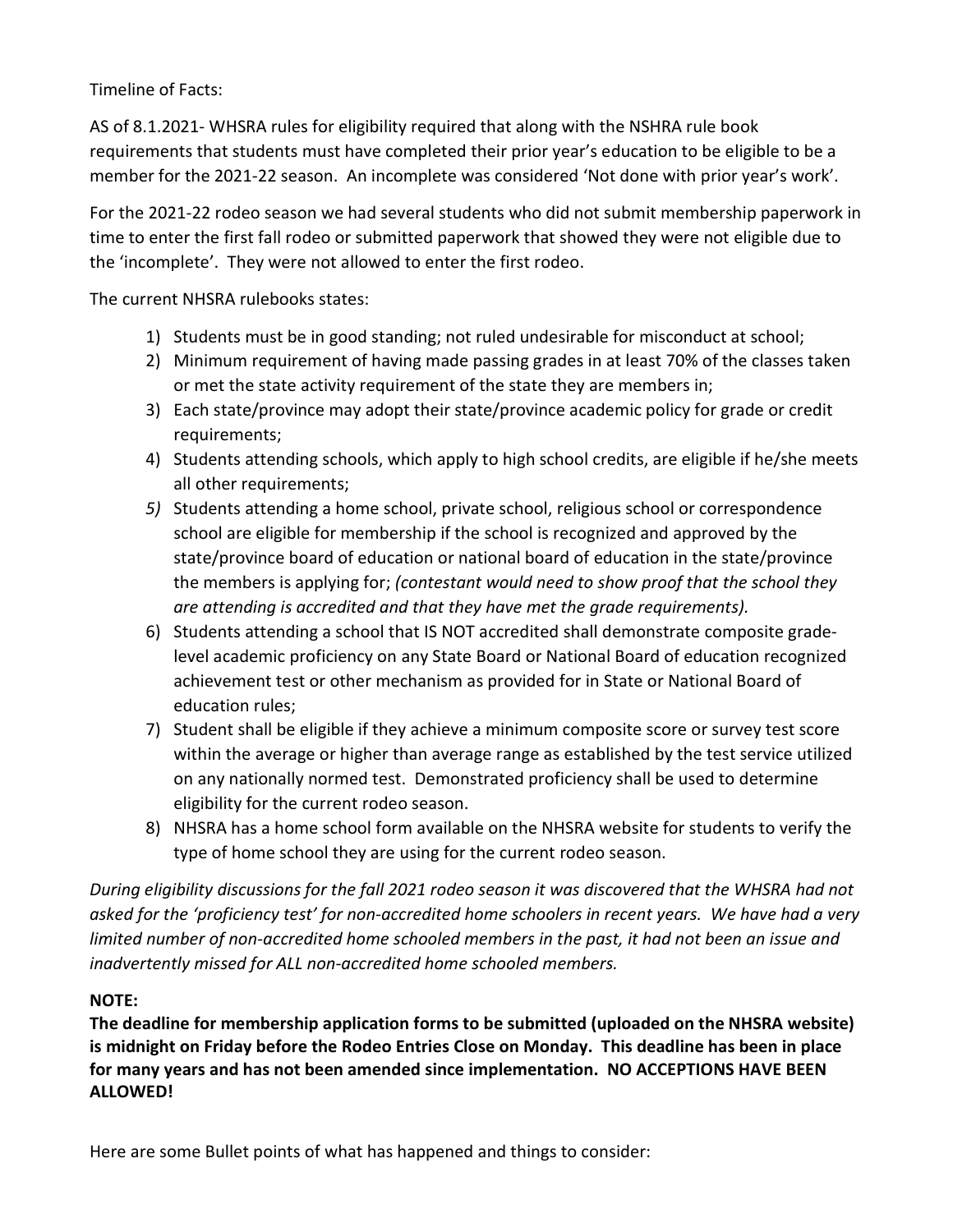Timeline of Facts:

AS of 8.1.2021- WHSRA rules for eligibility required that along with the NSHRA rule book requirements that students must have completed their prior year's education to be eligible to be a member for the 2021-22 season. An incomplete was considered 'Not done with prior year's work'.

For the 2021-22 rodeo season we had several students who did not submit membership paperwork in time to enter the first fall rodeo or submitted paperwork that showed they were not eligible due to the 'incomplete'. They were not allowed to enter the first rodeo.

The current NHSRA rulebooks states:

- 1) Students must be in good standing; not ruled undesirable for misconduct at school;
- 2) Minimum requirement of having made passing grades in at least 70% of the classes taken or met the state activity requirement of the state they are members in;
- 3) Each state/province may adopt their state/province academic policy for grade or credit requirements;
- 4) Students attending schools, which apply to high school credits, are eligible if he/she meets all other requirements;
- 5) Students attending a home school, private school, religious school or correspondence school are eligible for membership if the school is recognized and approved by the state/province board of education or national board of education in the state/province the members is applying for; (contestant would need to show proof that the school they are attending is accredited and that they have met the grade requirements).
- 6) Students attending a school that IS NOT accredited shall demonstrate composite gradelevel academic proficiency on any State Board or National Board of education recognized achievement test or other mechanism as provided for in State or National Board of education rules;
- 7) Student shall be eligible if they achieve a minimum composite score or survey test score within the average or higher than average range as established by the test service utilized on any nationally normed test. Demonstrated proficiency shall be used to determine eligibility for the current rodeo season.
- 8) NHSRA has a home school form available on the NHSRA website for students to verify the type of home school they are using for the current rodeo season.

During eligibility discussions for the fall 2021 rodeo season it was discovered that the WHSRA had not asked for the 'proficiency test' for non-accredited home schoolers in recent years. We have had a very limited number of non-accredited home schooled members in the past, it had not been an issue and inadvertently missed for ALL non-accredited home schooled members.

## NOTE:

The deadline for membership application forms to be submitted (uploaded on the NHSRA website) is midnight on Friday before the Rodeo Entries Close on Monday. This deadline has been in place for many years and has not been amended since implementation. NO ACCEPTIONS HAVE BEEN ALLOWED!

Here are some Bullet points of what has happened and things to consider: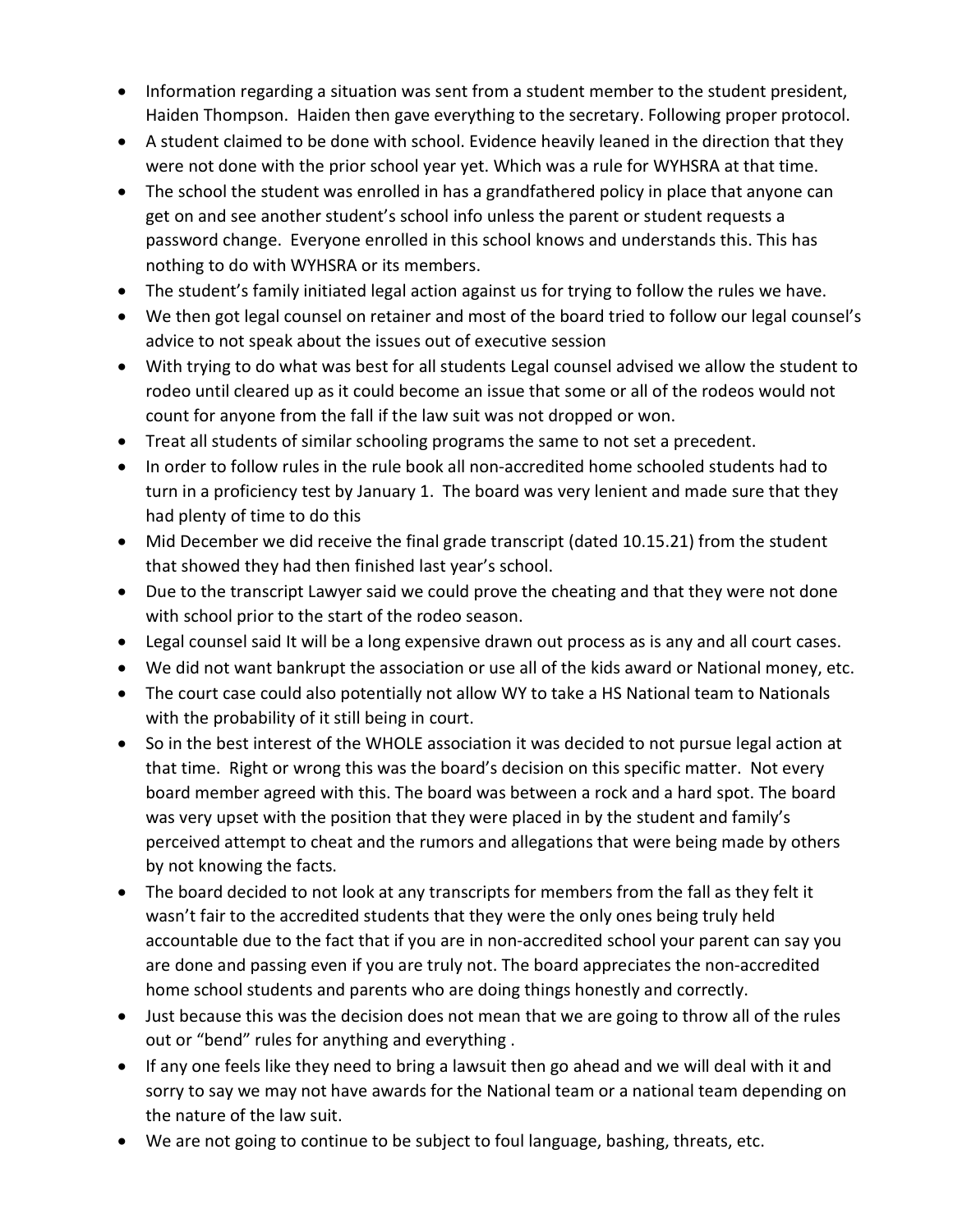- Information regarding a situation was sent from a student member to the student president, Haiden Thompson. Haiden then gave everything to the secretary. Following proper protocol.
- A student claimed to be done with school. Evidence heavily leaned in the direction that they were not done with the prior school year yet. Which was a rule for WYHSRA at that time.
- The school the student was enrolled in has a grandfathered policy in place that anyone can get on and see another student's school info unless the parent or student requests a password change. Everyone enrolled in this school knows and understands this. This has nothing to do with WYHSRA or its members.
- The student's family initiated legal action against us for trying to follow the rules we have.
- We then got legal counsel on retainer and most of the board tried to follow our legal counsel's advice to not speak about the issues out of executive session
- With trying to do what was best for all students Legal counsel advised we allow the student to rodeo until cleared up as it could become an issue that some or all of the rodeos would not count for anyone from the fall if the law suit was not dropped or won.
- Treat all students of similar schooling programs the same to not set a precedent.
- In order to follow rules in the rule book all non-accredited home schooled students had to turn in a proficiency test by January 1. The board was very lenient and made sure that they had plenty of time to do this
- Mid December we did receive the final grade transcript (dated 10.15.21) from the student that showed they had then finished last year's school.
- Due to the transcript Lawyer said we could prove the cheating and that they were not done with school prior to the start of the rodeo season.
- Legal counsel said It will be a long expensive drawn out process as is any and all court cases.
- We did not want bankrupt the association or use all of the kids award or National money, etc.
- The court case could also potentially not allow WY to take a HS National team to Nationals with the probability of it still being in court.
- So in the best interest of the WHOLE association it was decided to not pursue legal action at that time. Right or wrong this was the board's decision on this specific matter. Not every board member agreed with this. The board was between a rock and a hard spot. The board was very upset with the position that they were placed in by the student and family's perceived attempt to cheat and the rumors and allegations that were being made by others by not knowing the facts.
- The board decided to not look at any transcripts for members from the fall as they felt it wasn't fair to the accredited students that they were the only ones being truly held accountable due to the fact that if you are in non-accredited school your parent can say you are done and passing even if you are truly not. The board appreciates the non-accredited home school students and parents who are doing things honestly and correctly.
- Just because this was the decision does not mean that we are going to throw all of the rules out or "bend" rules for anything and everything .
- If any one feels like they need to bring a lawsuit then go ahead and we will deal with it and sorry to say we may not have awards for the National team or a national team depending on the nature of the law suit.
- We are not going to continue to be subject to foul language, bashing, threats, etc.